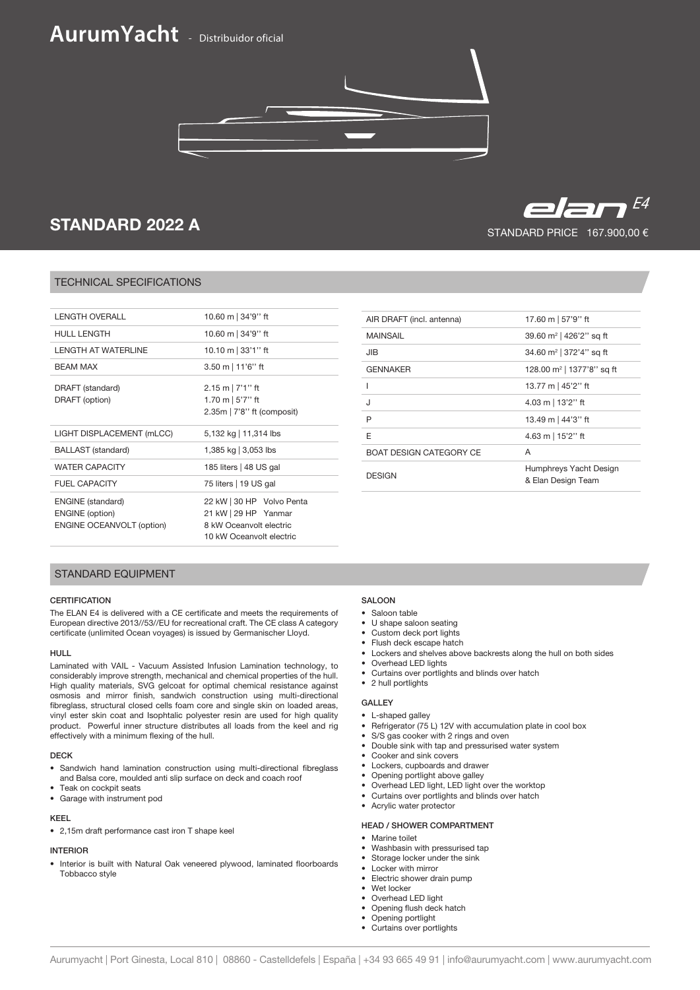# **AurumYacht** - Distribuidor oficial



## STANDARD 2022 A

## TECHNICAL SPECIFICATIONS

| I FNGTH OVFRALL                                                                        | 10.60 m   34'9" ft                                                                                       |
|----------------------------------------------------------------------------------------|----------------------------------------------------------------------------------------------------------|
| <b>HULL LENGTH</b>                                                                     | 10.60 m   34'9" ft                                                                                       |
| I FNGTH AT WATFRI INF                                                                  | 10.10 m $ 33'1''$ ft                                                                                     |
| <b>BFAM MAX</b>                                                                        | $3.50 \text{ m}$   11'6'' ft                                                                             |
| DRAFT (standard)<br>DRAFT (option)                                                     | $2.15 \text{ m}$   7'1" ft<br>1.70 m $\vert$ 5'7" ft<br>$2.35m$   $7'8''$ ft (composit)                  |
| LIGHT DISPLACEMENT (mLCC)                                                              | 5,132 kg   11,314 lbs                                                                                    |
| <b>BALLAST</b> (standard)                                                              | 1,385 kg   3,053 lbs                                                                                     |
| <b>WATER CAPACITY</b>                                                                  | 185 liters   48 US gal                                                                                   |
| <b>FUEL CAPACITY</b>                                                                   | 75 liters   19 US gal                                                                                    |
| <b>ENGINE</b> (standard)<br><b>ENGINE</b> (option)<br><b>ENGINE OCEANVOLT (option)</b> | 22 kW   30 HP Volvo Penta<br>21 kW   29 HP Yanmar<br>8 kW Oceanvolt electric<br>10 kW Oceanvolt electric |
|                                                                                        |                                                                                                          |
|                                                                                        |                                                                                                          |

| AIR DRAFT (incl. antenna)      | 17.60 m   57'9" ft                           |
|--------------------------------|----------------------------------------------|
| <b>MAINSAIL</b>                | 39.60 m <sup>2</sup>   426'2" sq ft          |
| JIB                            | 34.60 m <sup>2</sup>   372'4" sq ft          |
| <b>GENNAKER</b>                | 128.00 m <sup>2</sup>   1377'8" sq ft        |
|                                | 13.77 m   45'2" ft                           |
| J                              | 4.03 m   13'2" ft                            |
| P                              | 13.49 m   44'3" ft                           |
| F                              | 4.63 m   15'2" ft                            |
| <b>BOAT DESIGN CATEGORY CE</b> | A                                            |
| <b>DESIGN</b>                  | Humphreys Yacht Design<br>& Elan Design Team |

## STANDARD EQUIPMENT

## **CERTIFICATION**

The ELAN E4 is delivered with a CE certificate and meets the requirements of European directive 2013//53//EU for recreational craft. The CE class A category certificate (unlimited Ocean voyages) is issued by Germanischer Lloyd.

## HULL

Laminated with VAIL - Vacuum Assisted Infusion Lamination technology, to considerably improve strength, mechanical and chemical properties of the hull. High quality materials, SVG gelcoat for optimal chemical resistance against osmosis and mirror finish, sandwich construction using multi-directional fibreglass, structural closed cells foam core and single skin on loaded areas, vinyl ester skin coat and Isophtalic polyester resin are used for high quality product. Powerful inner structure distributes all loads from the keel and rig effectively with a minimum flexing of the hull.

## DECK

- Sandwich hand lamination construction using multi-directional fibreglass and Balsa core, moulded anti slip surface on deck and coach roof
- Teak on cockpit seats • Garage with instrument pod

#### KEEL

• 2,15m draft performance cast iron T shape keel

## INTERIOR

• Interior is built with Natural Oak veneered plywood, laminated floorboards Tobbacco style

## **SALOON**

- Saloon table
- U shape saloon seating
- Custom deck port lights
- Flush deck escape hatch
- Lockers and shelves above backrests along the hull on both sides
- Overhead LED lights
- Curtains over portlights and blinds over hatch
- 2 hull portlights

### GALLEY

- L-shaped galley
- Refrigerator (75 L) 12V with accumulation plate in cool box
- S/S gas cooker with 2 rings and oven
- Double sink with tap and pressurised water system
- Cooker and sink covers
- Lockers, cupboards and drawer
- Opening portlight above galley
- Overhead LED light, LED light over the worktop
- Curtains over portlights and blinds over hatch
- Acrylic water protector

## HEAD / SHOWER COMPARTMENT

### • Marine toilet

- Washbasin with pressurised tap
- Storage locker under the sink
- Locker with mirror
- Electric shower drain pump
- Wet locker
- Overhead LED light
- Opening flush deck hatch
- Opening portlight • Curtains over portlights

## STANDARD PRICE 167.900,00 €  $E = \sqrt{2} \sqrt{2}$